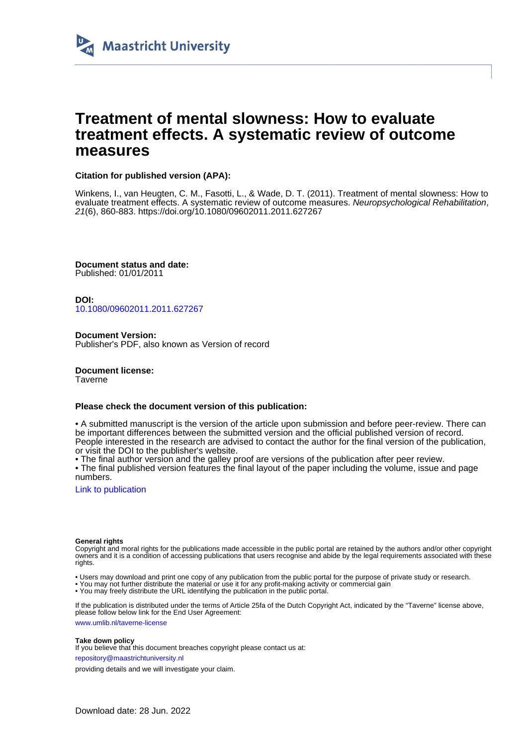

# **Treatment of mental slowness: How to evaluate treatment effects. A systematic review of outcome measures**

#### **Citation for published version (APA):**

Winkens, I., van Heugten, C. M., Fasotti, L., & Wade, D. T. (2011). Treatment of mental slowness: How to evaluate treatment effects. A systematic review of outcome measures. Neuropsychological Rehabilitation, 21(6), 860-883.<https://doi.org/10.1080/09602011.2011.627267>

**Document status and date:** Published: 01/01/2011

**DOI:** [10.1080/09602011.2011.627267](https://doi.org/10.1080/09602011.2011.627267)

**Document Version:** Publisher's PDF, also known as Version of record

**Document license:** Taverne

#### **Please check the document version of this publication:**

• A submitted manuscript is the version of the article upon submission and before peer-review. There can be important differences between the submitted version and the official published version of record. People interested in the research are advised to contact the author for the final version of the publication, or visit the DOI to the publisher's website.

• The final author version and the galley proof are versions of the publication after peer review.

• The final published version features the final layout of the paper including the volume, issue and page numbers.

[Link to publication](https://cris.maastrichtuniversity.nl/en/publications/58a02293-c3e8-45e9-a110-e04639cdd7ba)

#### **General rights**

Copyright and moral rights for the publications made accessible in the public portal are retained by the authors and/or other copyright owners and it is a condition of accessing publications that users recognise and abide by the legal requirements associated with these rights.

• Users may download and print one copy of any publication from the public portal for the purpose of private study or research.

• You may not further distribute the material or use it for any profit-making activity or commercial gain

• You may freely distribute the URL identifying the publication in the public portal.

If the publication is distributed under the terms of Article 25fa of the Dutch Copyright Act, indicated by the "Taverne" license above, please follow below link for the End User Agreement:

www.umlib.nl/taverne-license

#### **Take down policy**

If you believe that this document breaches copyright please contact us at:

repository@maastrichtuniversity.nl

providing details and we will investigate your claim.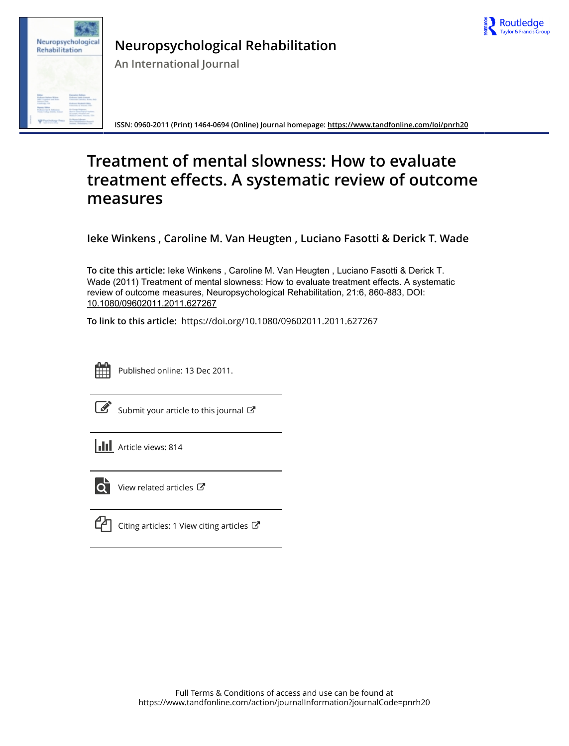



# **Neuropsychological Rehabilitation**

**An International Journal**

**ISSN: 0960-2011 (Print) 1464-0694 (Online) Journal homepage:<https://www.tandfonline.com/loi/pnrh20>**

# **Treatment of mental slowness: How to evaluate treatment effects. A systematic review of outcome measures**

**Ieke Winkens , Caroline M. Van Heugten , Luciano Fasotti & Derick T. Wade**

**To cite this article:** Ieke Winkens , Caroline M. Van Heugten , Luciano Fasotti & Derick T. Wade (2011) Treatment of mental slowness: How to evaluate treatment effects. A systematic review of outcome measures, Neuropsychological Rehabilitation, 21:6, 860-883, DOI: [10.1080/09602011.2011.627267](https://www.tandfonline.com/action/showCitFormats?doi=10.1080/09602011.2011.627267)

**To link to this article:** <https://doi.org/10.1080/09602011.2011.627267>



Published online: 13 Dec 2011.

 $\overrightarrow{S}$  [Submit your article to this journal](https://www.tandfonline.com/action/authorSubmission?journalCode=pnrh20&show=instructions)  $\overrightarrow{S}$ 





 $\overrightarrow{Q}$  [View related articles](https://www.tandfonline.com/doi/mlt/10.1080/09602011.2011.627267)  $\overrightarrow{C}$ 



[Citing articles: 1 View citing articles](https://www.tandfonline.com/doi/citedby/10.1080/09602011.2011.627267#tabModule)  $\mathbb{Z}$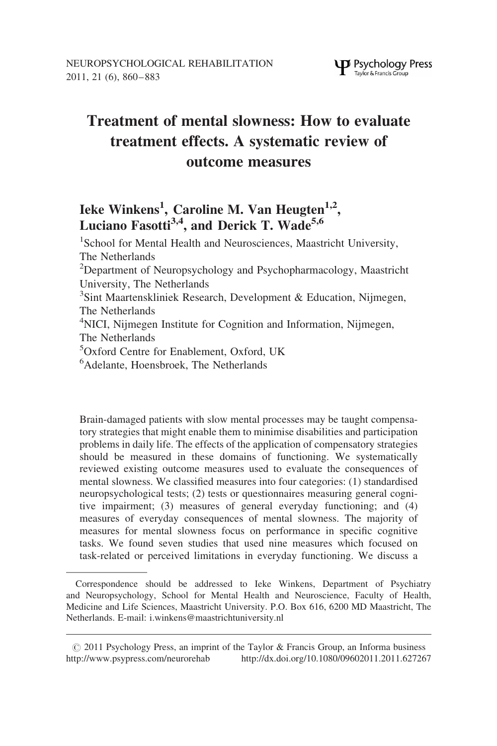# Treatment of mental slowness: How to evaluate treatment effects. A systematic review of outcome measures

# Ieke Winkens<sup>1</sup>, Caroline M. Van Heugten<sup>1,2</sup>, Luciano Fasotti<sup>3,4</sup>, and Derick T. Wade<sup>5,6</sup>

<sup>1</sup>School for Mental Health and Neurosciences, Maastricht University, The Netherlands <sup>2</sup>Department of Neuropsychology and Psychopharmacology, Maastricht University, The Netherlands <sup>3</sup>Sint Maartenskliniek Research, Development & Education, Nijmegen, The Netherlands <sup>4</sup>NICI, Nijmegen Institute for Cognition and Information, Nijmegen, The Netherlands 5 Oxford Centre for Enablement, Oxford, UK 6 Adelante, Hoensbroek, The Netherlands

Brain-damaged patients with slow mental processes may be taught compensatory strategies that might enable them to minimise disabilities and participation problems in daily life. The effects of the application of compensatory strategies should be measured in these domains of functioning. We systematically reviewed existing outcome measures used to evaluate the consequences of mental slowness. We classified measures into four categories: (1) standardised neuropsychological tests; (2) tests or questionnaires measuring general cognitive impairment; (3) measures of general everyday functioning; and (4) measures of everyday consequences of mental slowness. The majority of measures for mental slowness focus on performance in specific cognitive tasks. We found seven studies that used nine measures which focused on task-related or perceived limitations in everyday functioning. We discuss a

Correspondence should be addressed to Ieke Winkens, Department of Psychiatry and Neuropsychology, School for Mental Health and Neuroscience, Faculty of Health, Medicine and Life Sciences, Maastricht University. P.O. Box 616, 6200 MD Maastricht, The Netherlands. E-mail: i.winkens@maastrichtuniversity.nl

 $\odot$  2011 Psychology Press, an imprint of the Taylor & Francis Group, an Informa business http://www.psypress.com/neurorehab http://dx.doi.org/10.1080/09602011.2011.627267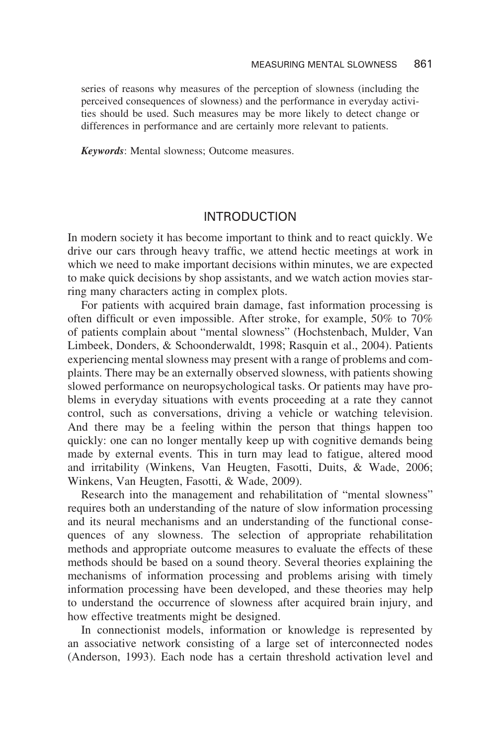series of reasons why measures of the perception of slowness (including the perceived consequences of slowness) and the performance in everyday activities should be used. Such measures may be more likely to detect change or differences in performance and are certainly more relevant to patients.

Keywords: Mental slowness; Outcome measures.

#### INTRODUCTION

In modern society it has become important to think and to react quickly. We drive our cars through heavy traffic, we attend hectic meetings at work in which we need to make important decisions within minutes, we are expected to make quick decisions by shop assistants, and we watch action movies starring many characters acting in complex plots.

For patients with acquired brain damage, fast information processing is often difficult or even impossible. After stroke, for example, 50% to 70% of patients complain about "mental slowness" (Hochstenbach, Mulder, Van Limbeek, Donders, & Schoonderwaldt, 1998; Rasquin et al., 2004). Patients experiencing mental slowness may present with a range of problems and complaints. There may be an externally observed slowness, with patients showing slowed performance on neuropsychological tasks. Or patients may have problems in everyday situations with events proceeding at a rate they cannot control, such as conversations, driving a vehicle or watching television. And there may be a feeling within the person that things happen too quickly: one can no longer mentally keep up with cognitive demands being made by external events. This in turn may lead to fatigue, altered mood and irritability (Winkens, Van Heugten, Fasotti, Duits, & Wade, 2006; Winkens, Van Heugten, Fasotti, & Wade, 2009).

Research into the management and rehabilitation of "mental slowness" requires both an understanding of the nature of slow information processing and its neural mechanisms and an understanding of the functional consequences of any slowness. The selection of appropriate rehabilitation methods and appropriate outcome measures to evaluate the effects of these methods should be based on a sound theory. Several theories explaining the mechanisms of information processing and problems arising with timely information processing have been developed, and these theories may help to understand the occurrence of slowness after acquired brain injury, and how effective treatments might be designed.

In connectionist models, information or knowledge is represented by an associative network consisting of a large set of interconnected nodes (Anderson, 1993). Each node has a certain threshold activation level and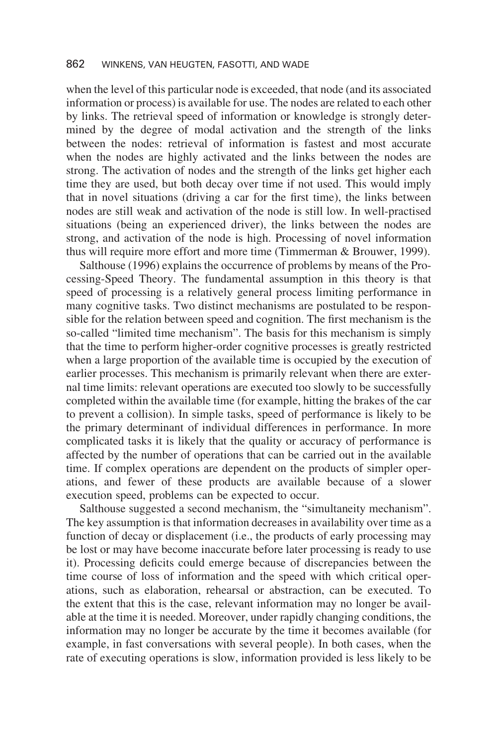when the level of this particular node is exceeded, that node (and its associated information or process) is available for use. The nodes are related to each other by links. The retrieval speed of information or knowledge is strongly determined by the degree of modal activation and the strength of the links between the nodes: retrieval of information is fastest and most accurate when the nodes are highly activated and the links between the nodes are strong. The activation of nodes and the strength of the links get higher each time they are used, but both decay over time if not used. This would imply that in novel situations (driving a car for the first time), the links between nodes are still weak and activation of the node is still low. In well-practised situations (being an experienced driver), the links between the nodes are strong, and activation of the node is high. Processing of novel information thus will require more effort and more time (Timmerman & Brouwer, 1999).

Salthouse (1996) explains the occurrence of problems by means of the Processing-Speed Theory. The fundamental assumption in this theory is that speed of processing is a relatively general process limiting performance in many cognitive tasks. Two distinct mechanisms are postulated to be responsible for the relation between speed and cognition. The first mechanism is the so-called "limited time mechanism". The basis for this mechanism is simply that the time to perform higher-order cognitive processes is greatly restricted when a large proportion of the available time is occupied by the execution of earlier processes. This mechanism is primarily relevant when there are external time limits: relevant operations are executed too slowly to be successfully completed within the available time (for example, hitting the brakes of the car to prevent a collision). In simple tasks, speed of performance is likely to be the primary determinant of individual differences in performance. In more complicated tasks it is likely that the quality or accuracy of performance is affected by the number of operations that can be carried out in the available time. If complex operations are dependent on the products of simpler operations, and fewer of these products are available because of a slower execution speed, problems can be expected to occur.

Salthouse suggested a second mechanism, the "simultaneity mechanism". The key assumption is that information decreases in availability over time as a function of decay or displacement (i.e., the products of early processing may be lost or may have become inaccurate before later processing is ready to use it). Processing deficits could emerge because of discrepancies between the time course of loss of information and the speed with which critical operations, such as elaboration, rehearsal or abstraction, can be executed. To the extent that this is the case, relevant information may no longer be available at the time it is needed. Moreover, under rapidly changing conditions, the information may no longer be accurate by the time it becomes available (for example, in fast conversations with several people). In both cases, when the rate of executing operations is slow, information provided is less likely to be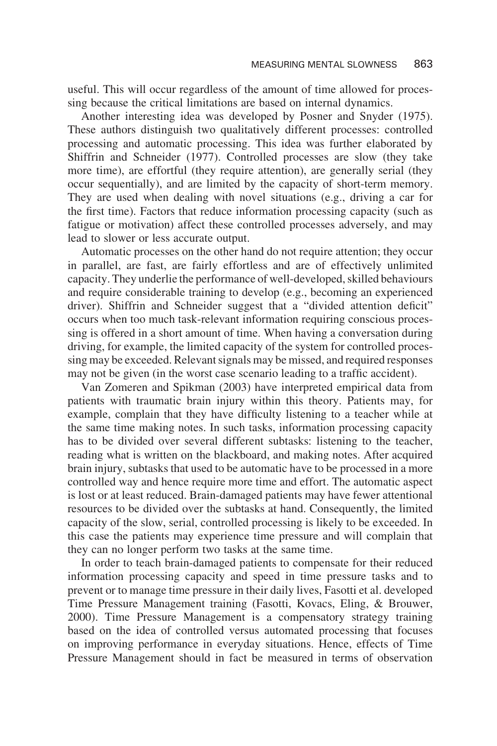useful. This will occur regardless of the amount of time allowed for processing because the critical limitations are based on internal dynamics.

Another interesting idea was developed by Posner and Snyder (1975). These authors distinguish two qualitatively different processes: controlled processing and automatic processing. This idea was further elaborated by Shiffrin and Schneider (1977). Controlled processes are slow (they take more time), are effortful (they require attention), are generally serial (they occur sequentially), and are limited by the capacity of short-term memory. They are used when dealing with novel situations (e.g., driving a car for the first time). Factors that reduce information processing capacity (such as fatigue or motivation) affect these controlled processes adversely, and may lead to slower or less accurate output.

Automatic processes on the other hand do not require attention; they occur in parallel, are fast, are fairly effortless and are of effectively unlimited capacity. They underlie the performance of well-developed, skilled behaviours and require considerable training to develop (e.g., becoming an experienced driver). Shiffrin and Schneider suggest that a "divided attention deficit" occurs when too much task-relevant information requiring conscious processing is offered in a short amount of time. When having a conversation during driving, for example, the limited capacity of the system for controlled processing may be exceeded. Relevant signals may be missed, and required responses may not be given (in the worst case scenario leading to a traffic accident).

Van Zomeren and Spikman (2003) have interpreted empirical data from patients with traumatic brain injury within this theory. Patients may, for example, complain that they have difficulty listening to a teacher while at the same time making notes. In such tasks, information processing capacity has to be divided over several different subtasks: listening to the teacher, reading what is written on the blackboard, and making notes. After acquired brain injury, subtasks that used to be automatic have to be processed in a more controlled way and hence require more time and effort. The automatic aspect is lost or at least reduced. Brain-damaged patients may have fewer attentional resources to be divided over the subtasks at hand. Consequently, the limited capacity of the slow, serial, controlled processing is likely to be exceeded. In this case the patients may experience time pressure and will complain that they can no longer perform two tasks at the same time.

In order to teach brain-damaged patients to compensate for their reduced information processing capacity and speed in time pressure tasks and to prevent or to manage time pressure in their daily lives, Fasotti et al. developed Time Pressure Management training (Fasotti, Kovacs, Eling, & Brouwer, 2000). Time Pressure Management is a compensatory strategy training based on the idea of controlled versus automated processing that focuses on improving performance in everyday situations. Hence, effects of Time Pressure Management should in fact be measured in terms of observation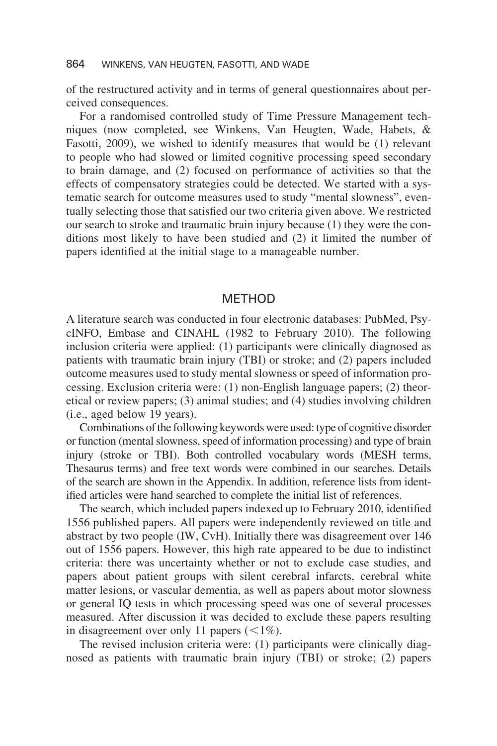of the restructured activity and in terms of general questionnaires about perceived consequences.

For a randomised controlled study of Time Pressure Management techniques (now completed, see Winkens, Van Heugten, Wade, Habets, & Fasotti, 2009), we wished to identify measures that would be (1) relevant to people who had slowed or limited cognitive processing speed secondary to brain damage, and (2) focused on performance of activities so that the effects of compensatory strategies could be detected. We started with a systematic search for outcome measures used to study "mental slowness", eventually selecting those that satisfied our two criteria given above. We restricted our search to stroke and traumatic brain injury because (1) they were the conditions most likely to have been studied and (2) it limited the number of papers identified at the initial stage to a manageable number.

#### METHOD

A literature search was conducted in four electronic databases: PubMed, PsycINFO, Embase and CINAHL (1982 to February 2010). The following inclusion criteria were applied: (1) participants were clinically diagnosed as patients with traumatic brain injury (TBI) or stroke; and (2) papers included outcome measures used to study mental slowness or speed of information processing. Exclusion criteria were: (1) non-English language papers; (2) theoretical or review papers; (3) animal studies; and (4) studies involving children (i.e., aged below 19 years).

Combinations of the following keywords were used: type of cognitive disorder or function (mental slowness, speed of information processing) and type of brain injury (stroke or TBI). Both controlled vocabulary words (MESH terms, Thesaurus terms) and free text words were combined in our searches. Details of the search are shown in the Appendix. In addition, reference lists from identified articles were hand searched to complete the initial list of references.

The search, which included papers indexed up to February 2010, identified 1556 published papers. All papers were independently reviewed on title and abstract by two people (IW, CvH). Initially there was disagreement over 146 out of 1556 papers. However, this high rate appeared to be due to indistinct criteria: there was uncertainty whether or not to exclude case studies, and papers about patient groups with silent cerebral infarcts, cerebral white matter lesions, or vascular dementia, as well as papers about motor slowness or general IQ tests in which processing speed was one of several processes measured. After discussion it was decided to exclude these papers resulting in disagreement over only 11 papers  $(<1\%)$ .

The revised inclusion criteria were: (1) participants were clinically diagnosed as patients with traumatic brain injury (TBI) or stroke; (2) papers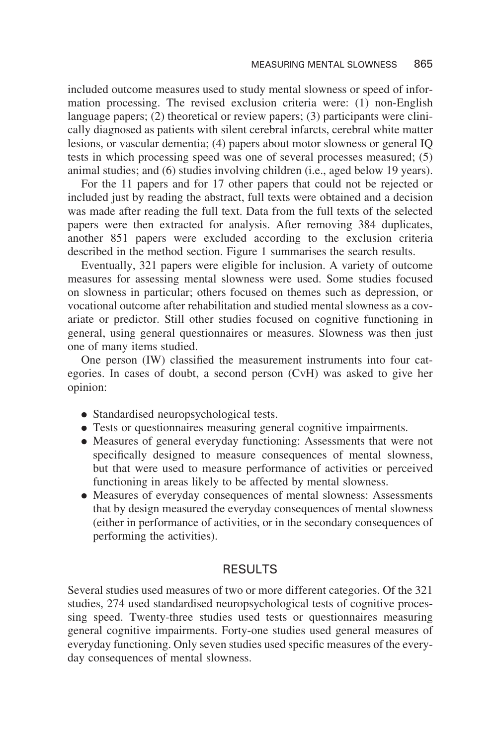included outcome measures used to study mental slowness or speed of information processing. The revised exclusion criteria were: (1) non-English language papers; (2) theoretical or review papers; (3) participants were clinically diagnosed as patients with silent cerebral infarcts, cerebral white matter lesions, or vascular dementia; (4) papers about motor slowness or general IQ tests in which processing speed was one of several processes measured; (5) animal studies; and (6) studies involving children (i.e., aged below 19 years).

For the 11 papers and for 17 other papers that could not be rejected or included just by reading the abstract, full texts were obtained and a decision was made after reading the full text. Data from the full texts of the selected papers were then extracted for analysis. After removing 384 duplicates, another 851 papers were excluded according to the exclusion criteria described in the method section. Figure 1 summarises the search results.

Eventually, 321 papers were eligible for inclusion. A variety of outcome measures for assessing mental slowness were used. Some studies focused on slowness in particular; others focused on themes such as depression, or vocational outcome after rehabilitation and studied mental slowness as a covariate or predictor. Still other studies focused on cognitive functioning in general, using general questionnaires or measures. Slowness was then just one of many items studied.

One person (IW) classified the measurement instruments into four categories. In cases of doubt, a second person (CvH) was asked to give her opinion:

- . Standardised neuropsychological tests.
- . Tests or questionnaires measuring general cognitive impairments.
- . Measures of general everyday functioning: Assessments that were not specifically designed to measure consequences of mental slowness, but that were used to measure performance of activities or perceived functioning in areas likely to be affected by mental slowness.
- . Measures of everyday consequences of mental slowness: Assessments that by design measured the everyday consequences of mental slowness (either in performance of activities, or in the secondary consequences of performing the activities).

#### **RESULTS**

Several studies used measures of two or more different categories. Of the 321 studies, 274 used standardised neuropsychological tests of cognitive processing speed. Twenty-three studies used tests or questionnaires measuring general cognitive impairments. Forty-one studies used general measures of everyday functioning. Only seven studies used specific measures of the everyday consequences of mental slowness.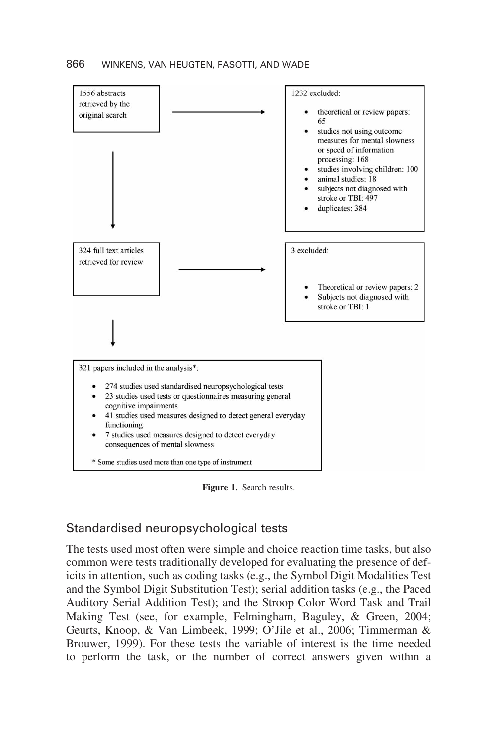

Figure 1. Search results.

## Standardised neuropsychological tests

The tests used most often were simple and choice reaction time tasks, but also common were tests traditionally developed for evaluating the presence of deficits in attention, such as coding tasks (e.g., the Symbol Digit Modalities Test and the Symbol Digit Substitution Test); serial addition tasks (e.g., the Paced Auditory Serial Addition Test); and the Stroop Color Word Task and Trail Making Test (see, for example, Felmingham, Baguley, & Green, 2004; Geurts, Knoop, & Van Limbeek, 1999; O'Jile et al., 2006; Timmerman & Brouwer, 1999). For these tests the variable of interest is the time needed to perform the task, or the number of correct answers given within a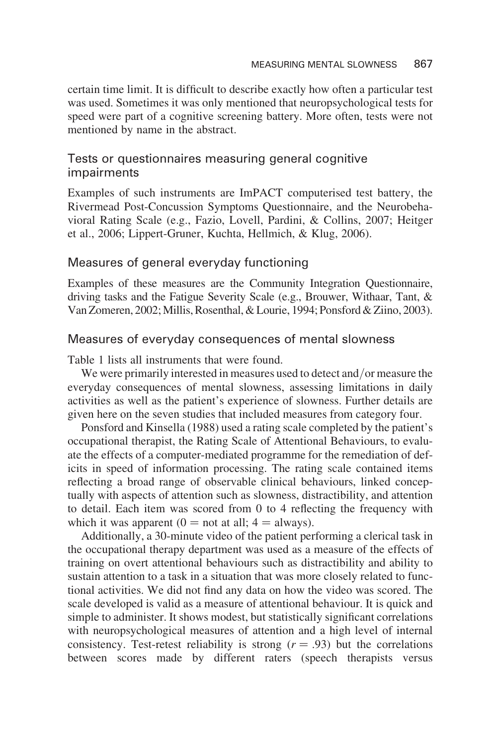certain time limit. It is difficult to describe exactly how often a particular test was used. Sometimes it was only mentioned that neuropsychological tests for speed were part of a cognitive screening battery. More often, tests were not mentioned by name in the abstract.

#### Tests or questionnaires measuring general cognitive impairments

Examples of such instruments are ImPACT computerised test battery, the Rivermead Post-Concussion Symptoms Questionnaire, and the Neurobehavioral Rating Scale (e.g., Fazio, Lovell, Pardini, & Collins, 2007; Heitger et al., 2006; Lippert-Gruner, Kuchta, Hellmich, & Klug, 2006).

#### Measures of general everyday functioning

Examples of these measures are the Community Integration Questionnaire, driving tasks and the Fatigue Severity Scale (e.g., Brouwer, Withaar, Tant, & Van Zomeren, 2002; Millis, Rosenthal, & Lourie, 1994; Ponsford & Ziino, 2003).

#### Measures of everyday consequences of mental slowness

Table 1 lists all instruments that were found.

We were primarily interested in measures used to detect and/or measure the everyday consequences of mental slowness, assessing limitations in daily activities as well as the patient's experience of slowness. Further details are given here on the seven studies that included measures from category four.

Ponsford and Kinsella (1988) used a rating scale completed by the patient's occupational therapist, the Rating Scale of Attentional Behaviours, to evaluate the effects of a computer-mediated programme for the remediation of deficits in speed of information processing. The rating scale contained items reflecting a broad range of observable clinical behaviours, linked conceptually with aspects of attention such as slowness, distractibility, and attention to detail. Each item was scored from 0 to 4 reflecting the frequency with which it was apparent  $(0 = not at all; 4 = always)$ .

Additionally, a 30-minute video of the patient performing a clerical task in the occupational therapy department was used as a measure of the effects of training on overt attentional behaviours such as distractibility and ability to sustain attention to a task in a situation that was more closely related to functional activities. We did not find any data on how the video was scored. The scale developed is valid as a measure of attentional behaviour. It is quick and simple to administer. It shows modest, but statistically significant correlations with neuropsychological measures of attention and a high level of internal consistency. Test-retest reliability is strong  $(r = .93)$  but the correlations between scores made by different raters (speech therapists versus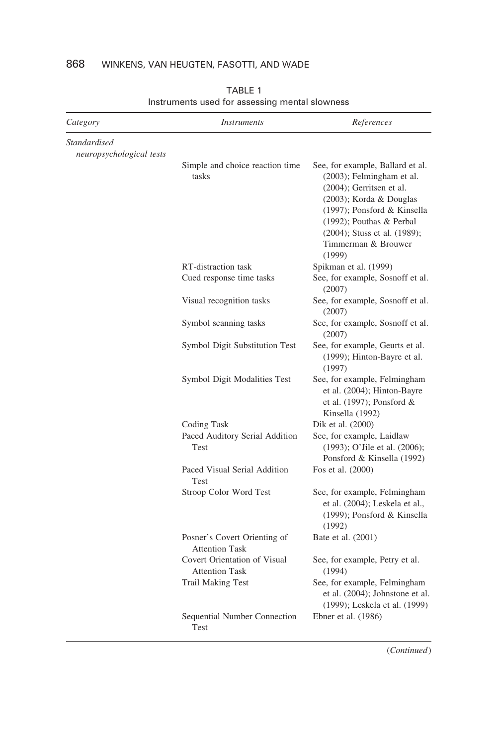| Category                                 | <i>Instruments</i>                                    | References                                                                                                                                                                                                                                          |
|------------------------------------------|-------------------------------------------------------|-----------------------------------------------------------------------------------------------------------------------------------------------------------------------------------------------------------------------------------------------------|
| Standardised<br>neuropsychological tests |                                                       |                                                                                                                                                                                                                                                     |
|                                          | Simple and choice reaction time<br>tasks              | See, for example, Ballard et al.<br>(2003); Felmingham et al.<br>$(2004)$ ; Gerritsen et al.<br>(2003); Korda & Douglas<br>(1997); Ponsford & Kinsella<br>(1992); Pouthas & Perbal<br>(2004); Stuss et al. (1989);<br>Timmerman & Brouwer<br>(1999) |
|                                          | RT-distraction task                                   | Spikman et al. (1999)                                                                                                                                                                                                                               |
|                                          | Cued response time tasks                              | See, for example, Sosnoff et al.<br>(2007)                                                                                                                                                                                                          |
|                                          | Visual recognition tasks                              | See, for example, Sosnoff et al.<br>(2007)                                                                                                                                                                                                          |
|                                          | Symbol scanning tasks                                 | See, for example, Sosnoff et al.<br>(2007)                                                                                                                                                                                                          |
|                                          | Symbol Digit Substitution Test                        | See, for example, Geurts et al.<br>(1999); Hinton-Bayre et al.<br>(1997)                                                                                                                                                                            |
|                                          | Symbol Digit Modalities Test                          | See, for example, Felmingham<br>et al. (2004); Hinton-Bayre<br>et al. $(1997)$ ; Ponsford &<br>Kinsella (1992)                                                                                                                                      |
|                                          | Coding Task                                           | Dik et al. (2000)                                                                                                                                                                                                                                   |
|                                          | Paced Auditory Serial Addition<br>Test                | See, for example, Laidlaw<br>(1993); O'Jile et al. (2006);<br>Ponsford & Kinsella (1992)                                                                                                                                                            |
|                                          | Paced Visual Serial Addition<br>Test                  | Fos et al. (2000)                                                                                                                                                                                                                                   |
|                                          | Stroop Color Word Test                                | See, for example, Felmingham<br>et al. (2004); Leskela et al.,<br>(1999); Ponsford & Kinsella<br>(1992)                                                                                                                                             |
|                                          | Posner's Covert Orienting of<br><b>Attention Task</b> | Bate et al. (2001)                                                                                                                                                                                                                                  |
|                                          | Covert Orientation of Visual<br><b>Attention Task</b> | See, for example, Petry et al.<br>(1994)                                                                                                                                                                                                            |
|                                          | Trail Making Test                                     | See, for example, Felmingham<br>et al. (2004); Johnstone et al.<br>(1999); Leskela et al. (1999)                                                                                                                                                    |
|                                          | Sequential Number Connection<br>Test                  | Ebner et al. $(1986)$                                                                                                                                                                                                                               |

#### TABLE 1 Instruments used for assessing mental slowness

(Continued)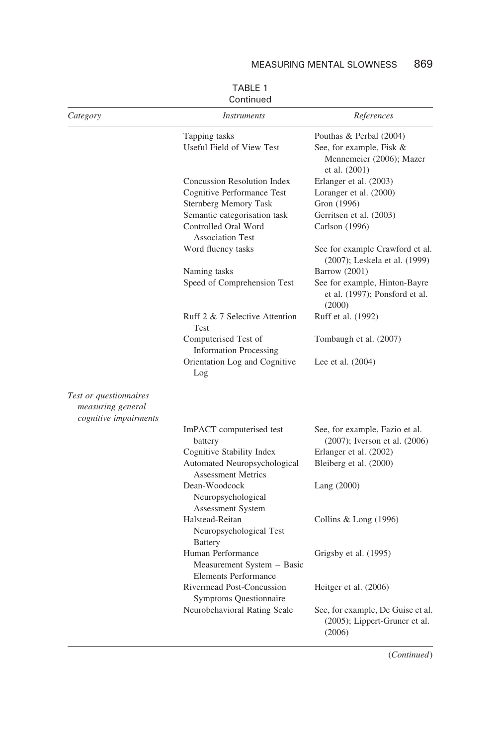| Continued                                                            |                                                                                                                                                                       |                                                                                                                     |  |  |
|----------------------------------------------------------------------|-----------------------------------------------------------------------------------------------------------------------------------------------------------------------|---------------------------------------------------------------------------------------------------------------------|--|--|
| Category                                                             | Instruments                                                                                                                                                           | References                                                                                                          |  |  |
|                                                                      | Tapping tasks<br>Useful Field of View Test                                                                                                                            | Pouthas & Perbal (2004)<br>See, for example, Fisk &<br>Mennemeier (2006); Mazer<br>et al. (2001)                    |  |  |
|                                                                      | Concussion Resolution Index<br>Cognitive Performance Test<br>Sternberg Memory Task<br>Semantic categorisation task<br>Controlled Oral Word<br><b>Association Test</b> | Erlanger et al. (2003)<br>Loranger et al. (2000)<br>Gron (1996)<br>Gerritsen et al. (2003)<br>Carlson (1996)        |  |  |
|                                                                      | Word fluency tasks                                                                                                                                                    | See for example Crawford et al.<br>(2007); Leskela et al. (1999)                                                    |  |  |
|                                                                      | Naming tasks<br>Speed of Comprehension Test                                                                                                                           | Barrow (2001)<br>See for example, Hinton-Bayre<br>et al. (1997); Ponsford et al.<br>(2000)                          |  |  |
|                                                                      | Ruff 2 & 7 Selective Attention<br>Test                                                                                                                                | Ruff et al. (1992)                                                                                                  |  |  |
|                                                                      | Computerised Test of<br><b>Information Processing</b>                                                                                                                 | Tombaugh et al. (2007)                                                                                              |  |  |
|                                                                      | Orientation Log and Cognitive<br>Log                                                                                                                                  | Lee et al. $(2004)$                                                                                                 |  |  |
| Test or questionnaires<br>measuring general<br>cognitive impairments |                                                                                                                                                                       |                                                                                                                     |  |  |
|                                                                      | ImPACT computerised test<br>battery<br>Cognitive Stability Index<br>Automated Neuropsychological<br><b>Assessment Metrics</b>                                         | See, for example, Fazio et al.<br>(2007); Iverson et al. (2006)<br>Erlanger et al. (2002)<br>Bleiberg et al. (2000) |  |  |
|                                                                      | Dean-Woodcock<br>Neuropsychological<br>Assessment System                                                                                                              | Lang $(2000)$                                                                                                       |  |  |
|                                                                      | Halstead-Reitan<br>Neuropsychological Test<br><b>Battery</b>                                                                                                          | Collins & Long $(1996)$                                                                                             |  |  |
|                                                                      | Human Performance<br>Measurement System - Basic<br><b>Elements Performance</b>                                                                                        | Grigsby et al. (1995)                                                                                               |  |  |
|                                                                      | Rivermead Post-Concussion<br><b>Symptoms Questionnaire</b>                                                                                                            | Heitger et al. (2006)                                                                                               |  |  |
|                                                                      | Neurobehavioral Rating Scale                                                                                                                                          | See, for example, De Guise et al.<br>(2005); Lippert-Gruner et al.                                                  |  |  |

# TABLE 1

(Continued)

(2006)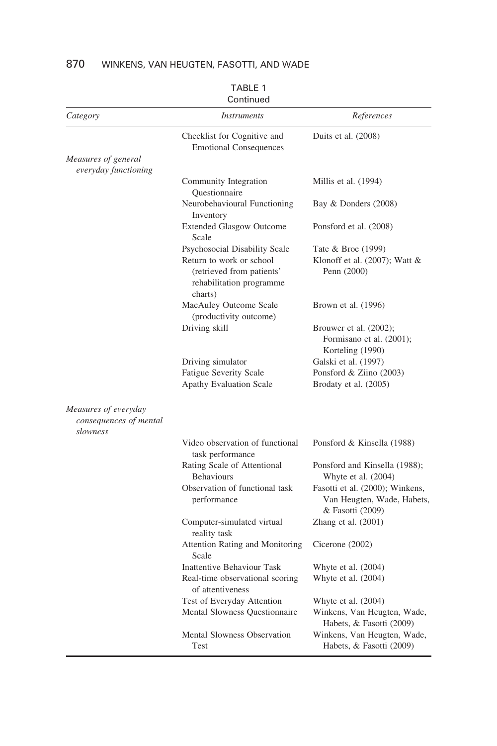| TABLE 1<br>Continued                                       |                                                                                                                               |                                                                                   |  |  |
|------------------------------------------------------------|-------------------------------------------------------------------------------------------------------------------------------|-----------------------------------------------------------------------------------|--|--|
| Category                                                   | <i>Instruments</i>                                                                                                            | References                                                                        |  |  |
|                                                            | Checklist for Cognitive and<br><b>Emotional Consequences</b>                                                                  | Duits et al. (2008)                                                               |  |  |
| Measures of general<br>everyday functioning                |                                                                                                                               |                                                                                   |  |  |
|                                                            | Community Integration<br>Ouestionnaire                                                                                        | Millis et al. (1994)                                                              |  |  |
|                                                            | Neurobehavioural Functioning<br>Inventory                                                                                     | Bay & Donders (2008)                                                              |  |  |
|                                                            | <b>Extended Glasgow Outcome</b><br>Scale                                                                                      | Ponsford et al. (2008)                                                            |  |  |
|                                                            | Psychosocial Disability Scale<br>Return to work or school<br>(retrieved from patients'<br>rehabilitation programme<br>charts) | Tate & Broe (1999)<br>Klonoff et al. $(2007)$ ; Watt &<br>Penn (2000)             |  |  |
|                                                            | MacAuley Outcome Scale<br>(productivity outcome)                                                                              | Brown et al. (1996)                                                               |  |  |
|                                                            | Driving skill                                                                                                                 | Brouwer et al. (2002);<br>Formisano et al. (2001);<br>Korteling (1990)            |  |  |
|                                                            | Driving simulator                                                                                                             | Galski et al. (1997)                                                              |  |  |
|                                                            | <b>Fatigue Severity Scale</b>                                                                                                 | Ponsford & Ziino (2003)                                                           |  |  |
|                                                            | <b>Apathy Evaluation Scale</b>                                                                                                | Brodaty et al. (2005)                                                             |  |  |
| Measures of everyday<br>consequences of mental<br>slowness |                                                                                                                               |                                                                                   |  |  |
|                                                            | Video observation of functional<br>task performance                                                                           | Ponsford & Kinsella (1988)                                                        |  |  |
|                                                            | Rating Scale of Attentional<br><b>Behaviours</b>                                                                              | Ponsford and Kinsella (1988);<br>Whyte et al. (2004)                              |  |  |
|                                                            | Observation of functional task<br>performance                                                                                 | Fasotti et al. (2000); Winkens,<br>Van Heugten, Wade, Habets,<br>& Fasotti (2009) |  |  |
|                                                            | Computer-simulated virtual<br>reality task                                                                                    | Zhang et al. $(2001)$                                                             |  |  |
|                                                            | Attention Rating and Monitoring<br>Scale                                                                                      | Cicerone $(2002)$                                                                 |  |  |
|                                                            | Inattentive Behaviour Task<br>Real-time observational scoring<br>of attentiveness                                             | Whyte et al. (2004)<br>Whyte et al. $(2004)$                                      |  |  |
|                                                            | Test of Everyday Attention                                                                                                    | Whyte et al. (2004)                                                               |  |  |
|                                                            | Mental Slowness Questionnaire                                                                                                 | Winkens, Van Heugten, Wade,<br>Habets, & Fasotti (2009)                           |  |  |
|                                                            | <b>Mental Slowness Observation</b><br>Test                                                                                    | Winkens, Van Heugten, Wade,<br>Habets, & Fasotti (2009)                           |  |  |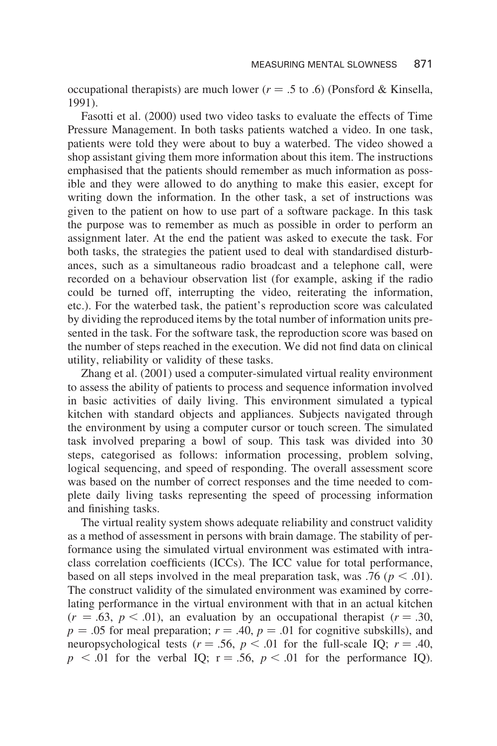occupational therapists) are much lower ( $r = .5$  to .6) (Ponsford & Kinsella, 1991).

Fasotti et al. (2000) used two video tasks to evaluate the effects of Time Pressure Management. In both tasks patients watched a video. In one task, patients were told they were about to buy a waterbed. The video showed a shop assistant giving them more information about this item. The instructions emphasised that the patients should remember as much information as possible and they were allowed to do anything to make this easier, except for writing down the information. In the other task, a set of instructions was given to the patient on how to use part of a software package. In this task the purpose was to remember as much as possible in order to perform an assignment later. At the end the patient was asked to execute the task. For both tasks, the strategies the patient used to deal with standardised disturbances, such as a simultaneous radio broadcast and a telephone call, were recorded on a behaviour observation list (for example, asking if the radio could be turned off, interrupting the video, reiterating the information, etc.). For the waterbed task, the patient's reproduction score was calculated by dividing the reproduced items by the total number of information units presented in the task. For the software task, the reproduction score was based on the number of steps reached in the execution. We did not find data on clinical utility, reliability or validity of these tasks.

Zhang et al. (2001) used a computer-simulated virtual reality environment to assess the ability of patients to process and sequence information involved in basic activities of daily living. This environment simulated a typical kitchen with standard objects and appliances. Subjects navigated through the environment by using a computer cursor or touch screen. The simulated task involved preparing a bowl of soup. This task was divided into 30 steps, categorised as follows: information processing, problem solving, logical sequencing, and speed of responding. The overall assessment score was based on the number of correct responses and the time needed to complete daily living tasks representing the speed of processing information and finishing tasks.

The virtual reality system shows adequate reliability and construct validity as a method of assessment in persons with brain damage. The stability of performance using the simulated virtual environment was estimated with intraclass correlation coefficients (ICCs). The ICC value for total performance, based on all steps involved in the meal preparation task, was .76 ( $p < .01$ ). The construct validity of the simulated environment was examined by correlating performance in the virtual environment with that in an actual kitchen  $(r = .63, p < .01)$ , an evaluation by an occupational therapist  $(r = .30,$  $p = .05$  for meal preparation;  $r = .40$ ,  $p = .01$  for cognitive subskills), and neuropsychological tests ( $r = .56$ ,  $p < .01$  for the full-scale IQ;  $r = .40$ ,  $p \leq 0.01$  for the verbal IQ;  $r = 0.56$ ,  $p \leq 0.01$  for the performance IQ).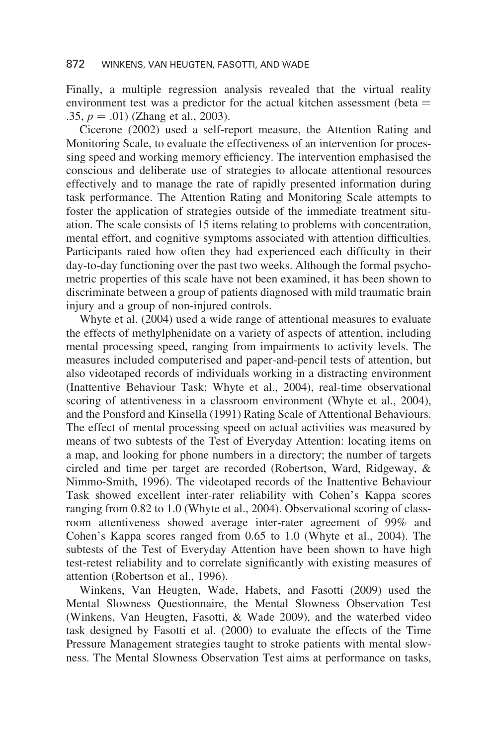Finally, a multiple regression analysis revealed that the virtual reality environment test was a predictor for the actual kitchen assessment (beta  $=$ .35,  $p = .01$ ) (Zhang et al., 2003).

Cicerone (2002) used a self-report measure, the Attention Rating and Monitoring Scale, to evaluate the effectiveness of an intervention for processing speed and working memory efficiency. The intervention emphasised the conscious and deliberate use of strategies to allocate attentional resources effectively and to manage the rate of rapidly presented information during task performance. The Attention Rating and Monitoring Scale attempts to foster the application of strategies outside of the immediate treatment situation. The scale consists of 15 items relating to problems with concentration, mental effort, and cognitive symptoms associated with attention difficulties. Participants rated how often they had experienced each difficulty in their day-to-day functioning over the past two weeks. Although the formal psychometric properties of this scale have not been examined, it has been shown to discriminate between a group of patients diagnosed with mild traumatic brain injury and a group of non-injured controls.

Whyte et al. (2004) used a wide range of attentional measures to evaluate the effects of methylphenidate on a variety of aspects of attention, including mental processing speed, ranging from impairments to activity levels. The measures included computerised and paper-and-pencil tests of attention, but also videotaped records of individuals working in a distracting environment (Inattentive Behaviour Task; Whyte et al., 2004), real-time observational scoring of attentiveness in a classroom environment (Whyte et al., 2004), and the Ponsford and Kinsella (1991) Rating Scale of Attentional Behaviours. The effect of mental processing speed on actual activities was measured by means of two subtests of the Test of Everyday Attention: locating items on a map, and looking for phone numbers in a directory; the number of targets circled and time per target are recorded (Robertson, Ward, Ridgeway, & Nimmo-Smith, 1996). The videotaped records of the Inattentive Behaviour Task showed excellent inter-rater reliability with Cohen's Kappa scores ranging from 0.82 to 1.0 (Whyte et al., 2004). Observational scoring of classroom attentiveness showed average inter-rater agreement of 99% and Cohen's Kappa scores ranged from 0.65 to 1.0 (Whyte et al., 2004). The subtests of the Test of Everyday Attention have been shown to have high test-retest reliability and to correlate significantly with existing measures of attention (Robertson et al., 1996).

Winkens, Van Heugten, Wade, Habets, and Fasotti (2009) used the Mental Slowness Questionnaire, the Mental Slowness Observation Test (Winkens, Van Heugten, Fasotti, & Wade 2009), and the waterbed video task designed by Fasotti et al. (2000) to evaluate the effects of the Time Pressure Management strategies taught to stroke patients with mental slowness. The Mental Slowness Observation Test aims at performance on tasks,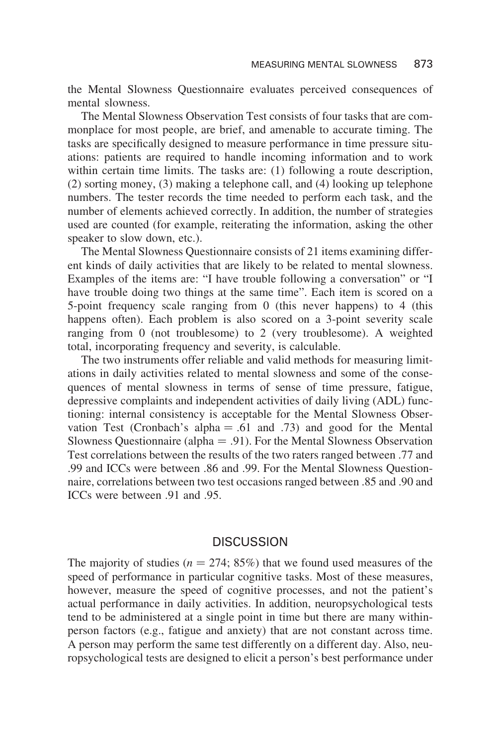the Mental Slowness Questionnaire evaluates perceived consequences of mental slowness.

The Mental Slowness Observation Test consists of four tasks that are commonplace for most people, are brief, and amenable to accurate timing. The tasks are specifically designed to measure performance in time pressure situations: patients are required to handle incoming information and to work within certain time limits. The tasks are: (1) following a route description, (2) sorting money, (3) making a telephone call, and (4) looking up telephone numbers. The tester records the time needed to perform each task, and the number of elements achieved correctly. In addition, the number of strategies used are counted (for example, reiterating the information, asking the other speaker to slow down, etc.).

The Mental Slowness Questionnaire consists of 21 items examining different kinds of daily activities that are likely to be related to mental slowness. Examples of the items are: "I have trouble following a conversation" or "I have trouble doing two things at the same time". Each item is scored on a 5-point frequency scale ranging from 0 (this never happens) to 4 (this happens often). Each problem is also scored on a 3-point severity scale ranging from 0 (not troublesome) to 2 (very troublesome). A weighted total, incorporating frequency and severity, is calculable.

The two instruments offer reliable and valid methods for measuring limitations in daily activities related to mental slowness and some of the consequences of mental slowness in terms of sense of time pressure, fatigue, depressive complaints and independent activities of daily living (ADL) functioning: internal consistency is acceptable for the Mental Slowness Observation Test (Cronbach's alpha  $= .61$  and .73) and good for the Mental Slowness Questionnaire (alpha  $= .91$ ). For the Mental Slowness Observation Test correlations between the results of the two raters ranged between .77 and .99 and ICCs were between .86 and .99. For the Mental Slowness Questionnaire, correlations between two test occasions ranged between .85 and .90 and ICCs were between .91 and .95

#### **DISCUSSION**

The majority of studies ( $n = 274$ ; 85%) that we found used measures of the speed of performance in particular cognitive tasks. Most of these measures, however, measure the speed of cognitive processes, and not the patient's actual performance in daily activities. In addition, neuropsychological tests tend to be administered at a single point in time but there are many withinperson factors (e.g., fatigue and anxiety) that are not constant across time. A person may perform the same test differently on a different day. Also, neuropsychological tests are designed to elicit a person's best performance under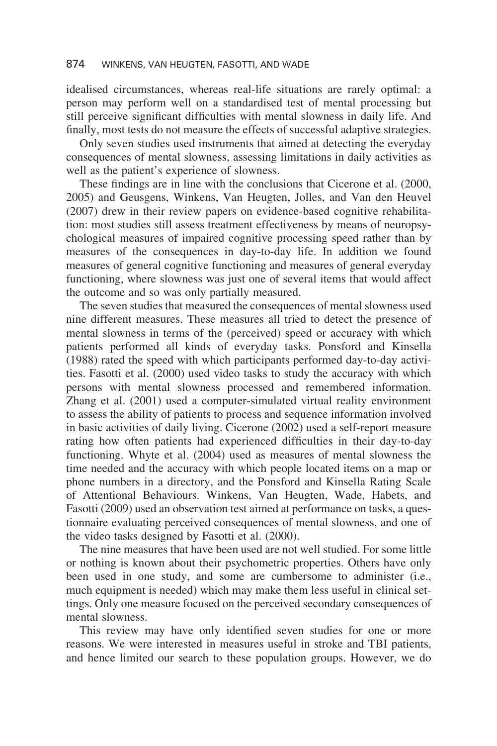idealised circumstances, whereas real-life situations are rarely optimal: a person may perform well on a standardised test of mental processing but still perceive significant difficulties with mental slowness in daily life. And finally, most tests do not measure the effects of successful adaptive strategies.

Only seven studies used instruments that aimed at detecting the everyday consequences of mental slowness, assessing limitations in daily activities as well as the patient's experience of slowness.

These findings are in line with the conclusions that Cicerone et al. (2000, 2005) and Geusgens, Winkens, Van Heugten, Jolles, and Van den Heuvel (2007) drew in their review papers on evidence-based cognitive rehabilitation: most studies still assess treatment effectiveness by means of neuropsychological measures of impaired cognitive processing speed rather than by measures of the consequences in day-to-day life. In addition we found measures of general cognitive functioning and measures of general everyday functioning, where slowness was just one of several items that would affect the outcome and so was only partially measured.

The seven studies that measured the consequences of mental slowness used nine different measures. These measures all tried to detect the presence of mental slowness in terms of the (perceived) speed or accuracy with which patients performed all kinds of everyday tasks. Ponsford and Kinsella (1988) rated the speed with which participants performed day-to-day activities. Fasotti et al. (2000) used video tasks to study the accuracy with which persons with mental slowness processed and remembered information. Zhang et al. (2001) used a computer-simulated virtual reality environment to assess the ability of patients to process and sequence information involved in basic activities of daily living. Cicerone (2002) used a self-report measure rating how often patients had experienced difficulties in their day-to-day functioning. Whyte et al. (2004) used as measures of mental slowness the time needed and the accuracy with which people located items on a map or phone numbers in a directory, and the Ponsford and Kinsella Rating Scale of Attentional Behaviours. Winkens, Van Heugten, Wade, Habets, and Fasotti (2009) used an observation test aimed at performance on tasks, a questionnaire evaluating perceived consequences of mental slowness, and one of the video tasks designed by Fasotti et al. (2000).

The nine measures that have been used are not well studied. For some little or nothing is known about their psychometric properties. Others have only been used in one study, and some are cumbersome to administer (i.e., much equipment is needed) which may make them less useful in clinical settings. Only one measure focused on the perceived secondary consequences of mental slowness.

This review may have only identified seven studies for one or more reasons. We were interested in measures useful in stroke and TBI patients, and hence limited our search to these population groups. However, we do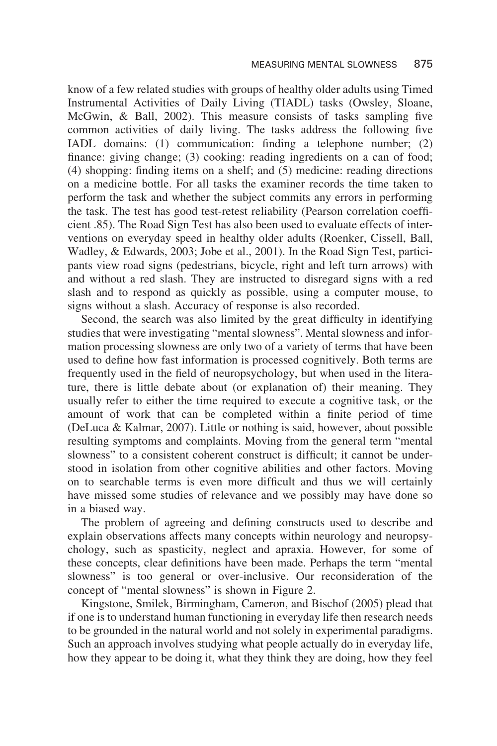know of a few related studies with groups of healthy older adults using Timed Instrumental Activities of Daily Living (TIADL) tasks (Owsley, Sloane, McGwin, & Ball, 2002). This measure consists of tasks sampling five common activities of daily living. The tasks address the following five IADL domains: (1) communication: finding a telephone number; (2) finance: giving change; (3) cooking: reading ingredients on a can of food; (4) shopping: finding items on a shelf; and (5) medicine: reading directions on a medicine bottle. For all tasks the examiner records the time taken to perform the task and whether the subject commits any errors in performing the task. The test has good test-retest reliability (Pearson correlation coefficient .85). The Road Sign Test has also been used to evaluate effects of interventions on everyday speed in healthy older adults (Roenker, Cissell, Ball, Wadley, & Edwards, 2003; Jobe et al., 2001). In the Road Sign Test, participants view road signs (pedestrians, bicycle, right and left turn arrows) with and without a red slash. They are instructed to disregard signs with a red slash and to respond as quickly as possible, using a computer mouse, to signs without a slash. Accuracy of response is also recorded.

Second, the search was also limited by the great difficulty in identifying studies that were investigating "mental slowness". Mental slowness and information processing slowness are only two of a variety of terms that have been used to define how fast information is processed cognitively. Both terms are frequently used in the field of neuropsychology, but when used in the literature, there is little debate about (or explanation of) their meaning. They usually refer to either the time required to execute a cognitive task, or the amount of work that can be completed within a finite period of time (DeLuca & Kalmar, 2007). Little or nothing is said, however, about possible resulting symptoms and complaints. Moving from the general term "mental slowness" to a consistent coherent construct is difficult; it cannot be understood in isolation from other cognitive abilities and other factors. Moving on to searchable terms is even more difficult and thus we will certainly have missed some studies of relevance and we possibly may have done so in a biased way.

The problem of agreeing and defining constructs used to describe and explain observations affects many concepts within neurology and neuropsychology, such as spasticity, neglect and apraxia. However, for some of these concepts, clear definitions have been made. Perhaps the term "mental slowness" is too general or over-inclusive. Our reconsideration of the concept of "mental slowness" is shown in Figure 2.

Kingstone, Smilek, Birmingham, Cameron, and Bischof (2005) plead that if one is to understand human functioning in everyday life then research needs to be grounded in the natural world and not solely in experimental paradigms. Such an approach involves studying what people actually do in everyday life, how they appear to be doing it, what they think they are doing, how they feel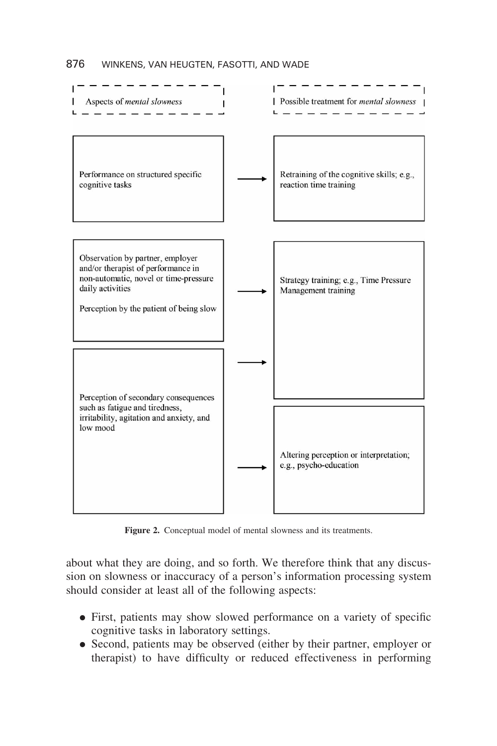

Figure 2. Conceptual model of mental slowness and its treatments.

about what they are doing, and so forth. We therefore think that any discussion on slowness or inaccuracy of a person's information processing system should consider at least all of the following aspects:

- . First, patients may show slowed performance on a variety of specific cognitive tasks in laboratory settings.
- . Second, patients may be observed (either by their partner, employer or therapist) to have difficulty or reduced effectiveness in performing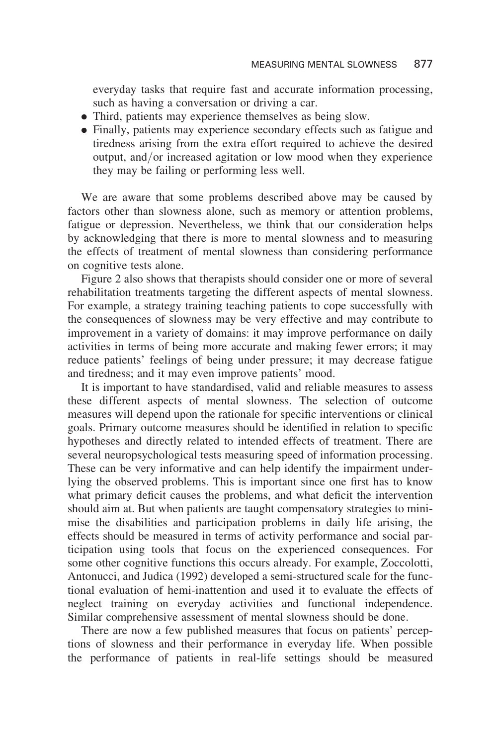everyday tasks that require fast and accurate information processing, such as having a conversation or driving a car.

- . Third, patients may experience themselves as being slow.
- . Finally, patients may experience secondary effects such as fatigue and tiredness arising from the extra effort required to achieve the desired output, and/or increased agitation or low mood when they experience they may be failing or performing less well.

We are aware that some problems described above may be caused by factors other than slowness alone, such as memory or attention problems, fatigue or depression. Nevertheless, we think that our consideration helps by acknowledging that there is more to mental slowness and to measuring the effects of treatment of mental slowness than considering performance on cognitive tests alone.

Figure 2 also shows that therapists should consider one or more of several rehabilitation treatments targeting the different aspects of mental slowness. For example, a strategy training teaching patients to cope successfully with the consequences of slowness may be very effective and may contribute to improvement in a variety of domains: it may improve performance on daily activities in terms of being more accurate and making fewer errors; it may reduce patients' feelings of being under pressure; it may decrease fatigue and tiredness; and it may even improve patients' mood.

It is important to have standardised, valid and reliable measures to assess these different aspects of mental slowness. The selection of outcome measures will depend upon the rationale for specific interventions or clinical goals. Primary outcome measures should be identified in relation to specific hypotheses and directly related to intended effects of treatment. There are several neuropsychological tests measuring speed of information processing. These can be very informative and can help identify the impairment underlying the observed problems. This is important since one first has to know what primary deficit causes the problems, and what deficit the intervention should aim at. But when patients are taught compensatory strategies to minimise the disabilities and participation problems in daily life arising, the effects should be measured in terms of activity performance and social participation using tools that focus on the experienced consequences. For some other cognitive functions this occurs already. For example, Zoccolotti, Antonucci, and Judica (1992) developed a semi-structured scale for the functional evaluation of hemi-inattention and used it to evaluate the effects of neglect training on everyday activities and functional independence. Similar comprehensive assessment of mental slowness should be done.

There are now a few published measures that focus on patients' perceptions of slowness and their performance in everyday life. When possible the performance of patients in real-life settings should be measured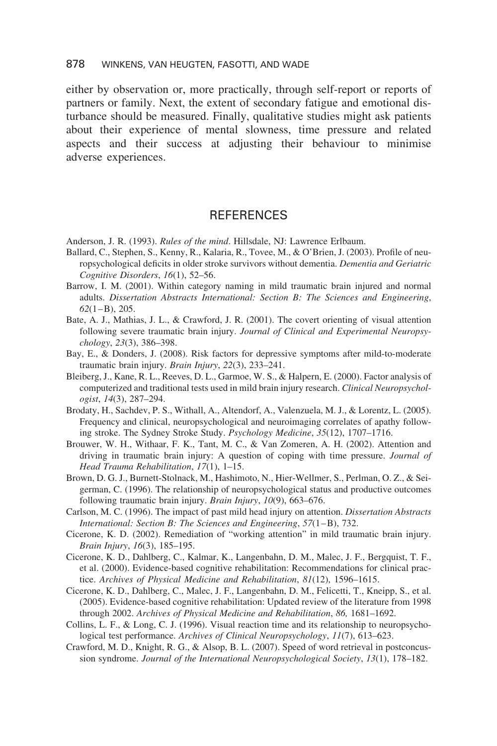either by observation or, more practically, through self-report or reports of partners or family. Next, the extent of secondary fatigue and emotional disturbance should be measured. Finally, qualitative studies might ask patients about their experience of mental slowness, time pressure and related aspects and their success at adjusting their behaviour to minimise adverse experiences.

#### **REFERENCES**

Anderson, J. R. (1993). Rules of the mind. Hillsdale, NJ: Lawrence Erlbaum.

- Ballard, C., Stephen, S., Kenny, R., Kalaria, R., Tovee, M., & O'Brien, J. (2003). Profile of neuropsychological deficits in older stroke survivors without dementia. Dementia and Geriatric Cognitive Disorders, 16(1), 52–56.
- Barrow, I. M. (2001). Within category naming in mild traumatic brain injured and normal adults. Dissertation Abstracts International: Section B: The Sciences and Engineering,  $62(1 - B)$ , 205.
- Bate, A. J., Mathias, J. L., & Crawford, J. R. (2001). The covert orienting of visual attention following severe traumatic brain injury. Journal of Clinical and Experimental Neuropsychology, 23(3), 386–398.
- Bay, E., & Donders, J. (2008). Risk factors for depressive symptoms after mild-to-moderate traumatic brain injury. Brain Injury, 22(3), 233–241.
- Bleiberg, J., Kane, R. L., Reeves, D. L., Garmoe, W. S., & Halpern, E. (2000). Factor analysis of computerized and traditional tests used in mild brain injury research. Clinical Neuropsychologist, 14(3), 287–294.
- Brodaty, H., Sachdev, P. S., Withall, A., Altendorf, A., Valenzuela, M. J., & Lorentz, L. (2005). Frequency and clinical, neuropsychological and neuroimaging correlates of apathy following stroke. The Sydney Stroke Study. Psychology Medicine, 35(12), 1707–1716.
- Brouwer, W. H., Withaar, F. K., Tant, M. C., & Van Zomeren, A. H. (2002). Attention and driving in traumatic brain injury: A question of coping with time pressure. Journal of Head Trauma Rehabilitation, 17(1), 1–15.
- Brown, D. G. J., Burnett-Stolnack, M., Hashimoto, N., Hier-Wellmer, S., Perlman, O. Z., & Seigerman, C. (1996). The relationship of neuropsychological status and productive outcomes following traumatic brain injury. Brain Injury, 10(9), 663–676.
- Carlson, M. C. (1996). The impact of past mild head injury on attention. Dissertation Abstracts International: Section B: The Sciences and Engineering, 57(1 –B), 732.
- Cicerone, K. D. (2002). Remediation of "working attention" in mild traumatic brain injury. Brain Injury, 16(3), 185–195.
- Cicerone, K. D., Dahlberg, C., Kalmar, K., Langenbahn, D. M., Malec, J. F., Bergquist, T. F., et al. (2000). Evidence-based cognitive rehabilitation: Recommendations for clinical practice. Archives of Physical Medicine and Rehabilitation, 81(12), 1596–1615.
- Cicerone, K. D., Dahlberg, C., Malec, J. F., Langenbahn, D. M., Felicetti, T., Kneipp, S., et al. (2005). Evidence-based cognitive rehabilitation: Updated review of the literature from 1998 through 2002. Archives of Physical Medicine and Rehabilitation, 86, 1681–1692.
- Collins, L. F., & Long, C. J. (1996). Visual reaction time and its relationship to neuropsychological test performance. Archives of Clinical Neuropsychology, 11(7), 613–623.
- Crawford, M. D., Knight, R. G., & Alsop, B. L. (2007). Speed of word retrieval in postconcussion syndrome. Journal of the International Neuropsychological Society, 13(1), 178–182.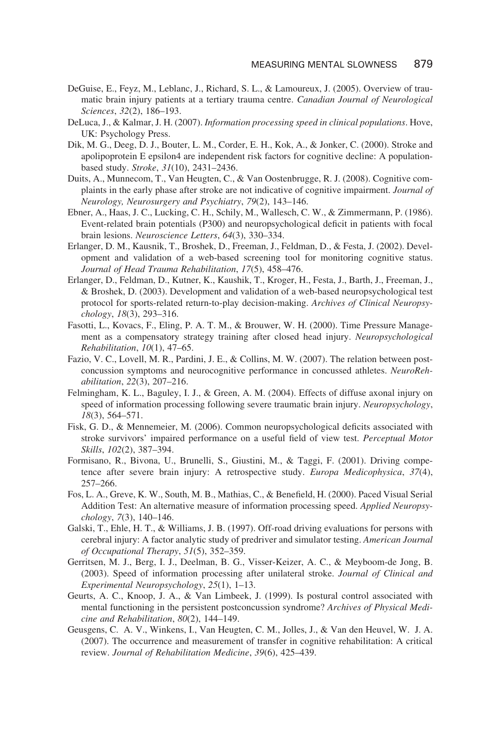- DeGuise, E., Feyz, M., Leblanc, J., Richard, S. L., & Lamoureux, J. (2005). Overview of traumatic brain injury patients at a tertiary trauma centre. Canadian Journal of Neurological Sciences, 32(2), 186–193.
- DeLuca, J., & Kalmar, J. H. (2007). Information processing speed in clinical populations. Hove, UK: Psychology Press.
- Dik, M. G., Deeg, D. J., Bouter, L. M., Corder, E. H., Kok, A., & Jonker, C. (2000). Stroke and apolipoprotein E epsilon4 are independent risk factors for cognitive decline: A populationbased study. Stroke, 31(10), 2431–2436.
- Duits, A., Munnecom, T., Van Heugten, C., & Van Oostenbrugge, R. J. (2008). Cognitive complaints in the early phase after stroke are not indicative of cognitive impairment. Journal of Neurology, Neurosurgery and Psychiatry, 79(2), 143–146.
- Ebner, A., Haas, J. C., Lucking, C. H., Schily, M., Wallesch, C. W., & Zimmermann, P. (1986). Event-related brain potentials (P300) and neuropsychological deficit in patients with focal brain lesions. Neuroscience Letters, 64(3), 330–334.
- Erlanger, D. M., Kausnik, T., Broshek, D., Freeman, J., Feldman, D., & Festa, J. (2002). Development and validation of a web-based screening tool for monitoring cognitive status. Journal of Head Trauma Rehabilitation, 17(5), 458–476.
- Erlanger, D., Feldman, D., Kutner, K., Kaushik, T., Kroger, H., Festa, J., Barth, J., Freeman, J., & Broshek, D. (2003). Development and validation of a web-based neuropsychological test protocol for sports-related return-to-play decision-making. Archives of Clinical Neuropsychology, 18(3), 293–316.
- Fasotti, L., Kovacs, F., Eling, P. A. T. M., & Brouwer, W. H. (2000). Time Pressure Management as a compensatory strategy training after closed head injury. Neuropsychological Rehabilitation, 10(1), 47–65.
- Fazio, V. C., Lovell, M. R., Pardini, J. E., & Collins, M. W. (2007). The relation between postconcussion symptoms and neurocognitive performance in concussed athletes. NeuroRehabilitation, 22(3), 207–216.
- Felmingham, K. L., Baguley, I. J., & Green, A. M. (2004). Effects of diffuse axonal injury on speed of information processing following severe traumatic brain injury. Neuropsychology, 18(3), 564–571.
- Fisk, G. D., & Mennemeier, M. (2006). Common neuropsychological deficits associated with stroke survivors' impaired performance on a useful field of view test. Perceptual Motor Skills, 102(2), 387–394.
- Formisano, R., Bivona, U., Brunelli, S., Giustini, M., & Taggi, F. (2001). Driving competence after severe brain injury: A retrospective study. Europa Medicophysica, 37(4), 257–266.
- Fos, L. A., Greve, K. W., South, M. B., Mathias, C., & Benefield, H. (2000). Paced Visual Serial Addition Test: An alternative measure of information processing speed. Applied Neuropsychology, 7(3), 140–146.
- Galski, T., Ehle, H. T., & Williams, J. B. (1997). Off-road driving evaluations for persons with cerebral injury: A factor analytic study of predriver and simulator testing. American Journal of Occupational Therapy, 51(5), 352–359.
- Gerritsen, M. J., Berg, I. J., Deelman, B. G., Visser-Keizer, A. C., & Meyboom-de Jong, B. (2003). Speed of information processing after unilateral stroke. Journal of Clinical and Experimental Neuropsychology, 25(1), 1–13.
- Geurts, A. C., Knoop, J. A., & Van Limbeek, J. (1999). Is postural control associated with mental functioning in the persistent postconcussion syndrome? Archives of Physical Medicine and Rehabilitation, 80(2), 144–149.
- Geusgens, C. A. V., Winkens, I., Van Heugten, C. M., Jolles, J., & Van den Heuvel, W. J. A. (2007). The occurrence and measurement of transfer in cognitive rehabilitation: A critical review. Journal of Rehabilitation Medicine, 39(6), 425–439.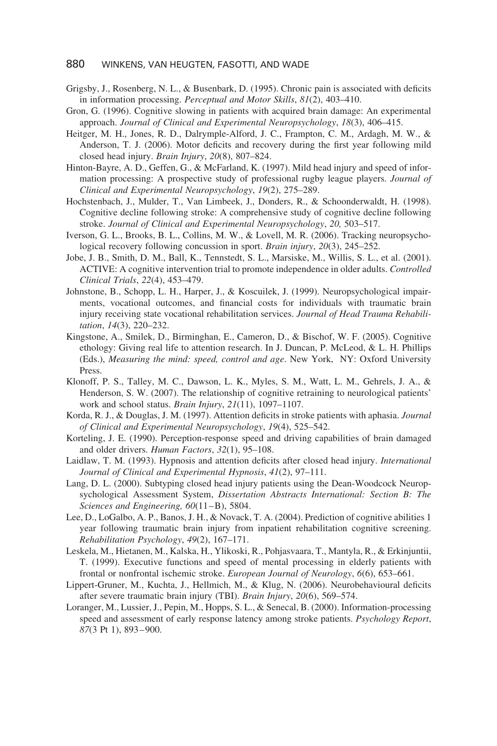- Grigsby, J., Rosenberg, N. L., & Busenbark, D. (1995). Chronic pain is associated with deficits in information processing. Perceptual and Motor Skills, 81(2), 403–410.
- Gron, G. (1996). Cognitive slowing in patients with acquired brain damage: An experimental approach. Journal of Clinical and Experimental Neuropsychology, 18(3), 406–415.
- Heitger, M. H., Jones, R. D., Dalrymple-Alford, J. C., Frampton, C. M., Ardagh, M. W., & Anderson, T. J. (2006). Motor deficits and recovery during the first year following mild closed head injury. Brain Injury, 20(8), 807–824.
- Hinton-Bayre, A. D., Geffen, G., & McFarland, K. (1997). Mild head injury and speed of information processing: A prospective study of professional rugby league players. *Journal of* Clinical and Experimental Neuropsychology, 19(2), 275–289.
- Hochstenbach, J., Mulder, T., Van Limbeek, J., Donders, R., & Schoonderwaldt, H. (1998). Cognitive decline following stroke: A comprehensive study of cognitive decline following stroke. Journal of Clinical and Experimental Neuropsychology, 20, 503–517.
- Iverson, G. L., Brooks, B. L., Collins, M. W., & Lovell, M. R. (2006). Tracking neuropsychological recovery following concussion in sport. Brain injury, 20(3), 245–252.
- Jobe, J. B., Smith, D. M., Ball, K., Tennstedt, S. L., Marsiske, M., Willis, S. L., et al. (2001). ACTIVE: A cognitive intervention trial to promote independence in older adults. Controlled Clinical Trials, 22(4), 453–479.
- Johnstone, B., Schopp, L. H., Harper, J., & Koscuilek, J. (1999). Neuropsychological impairments, vocational outcomes, and financial costs for individuals with traumatic brain injury receiving state vocational rehabilitation services. Journal of Head Trauma Rehabilitation, 14(3), 220–232.
- Kingstone, A., Smilek, D., Birminghan, E., Cameron, D., & Bischof, W. F. (2005). Cognitive ethology: Giving real life to attention research. In J. Duncan, P. McLeod, & L. H. Phillips (Eds.), Measuring the mind: speed, control and age. New York, NY: Oxford University Press.
- Klonoff, P. S., Talley, M. C., Dawson, L. K., Myles, S. M., Watt, L. M., Gehrels, J. A., & Henderson, S. W. (2007). The relationship of cognitive retraining to neurological patients' work and school status. Brain Injury, 21(11), 1097–1107.
- Korda, R. J., & Douglas, J. M. (1997). Attention deficits in stroke patients with aphasia. Journal of Clinical and Experimental Neuropsychology, 19(4), 525–542.
- Korteling, J. E. (1990). Perception-response speed and driving capabilities of brain damaged and older drivers. Human Factors, 32(1), 95–108.
- Laidlaw, T. M. (1993). Hypnosis and attention deficits after closed head injury. International Journal of Clinical and Experimental Hypnosis, 41(2), 97–111.
- Lang, D. L. (2000). Subtyping closed head injury patients using the Dean-Woodcock Neuropsychological Assessment System, Dissertation Abstracts International: Section B: The Sciences and Engineering, 60(11-B), 5804.
- Lee, D., LoGalbo, A. P., Banos, J. H., & Novack, T. A. (2004). Prediction of cognitive abilities 1 year following traumatic brain injury from inpatient rehabilitation cognitive screening. Rehabilitation Psychology, 49(2), 167–171.
- Leskela, M., Hietanen, M., Kalska, H., Ylikoski, R., Pohjasvaara, T., Mantyla, R., & Erkinjuntii, T. (1999). Executive functions and speed of mental processing in elderly patients with frontal or nonfrontal ischemic stroke. European Journal of Neurology, 6(6), 653–661.
- Lippert-Gruner, M., Kuchta, J., Hellmich, M., & Klug, N. (2006). Neurobehavioural deficits after severe traumatic brain injury (TBI). Brain Injury, 20(6), 569–574.
- Loranger, M., Lussier, J., Pepin, M., Hopps, S. L., & Senecal, B. (2000). Information-processing speed and assessment of early response latency among stroke patients. Psychology Report, 87(3 Pt 1), 893 – 900.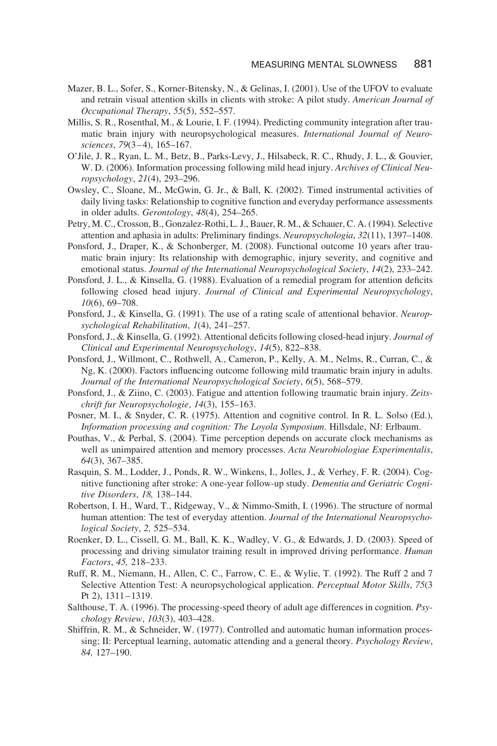- Mazer, B. L., Sofer, S., Korner-Bitensky, N., & Gelinas, I. (2001). Use of the UFOV to evaluate and retrain visual attention skills in clients with stroke: A pilot study. American Journal of Occupational Therapy, 55(5), 552–557.
- Millis, S. R., Rosenthal, M., & Lourie, I. F. (1994). Predicting community integration after traumatic brain injury with neuropsychological measures. *International Journal of Neuro*sciences, 79(3-4), 165-167.
- O'Jile, J. R., Ryan, L. M., Betz, B., Parks-Levy, J., Hilsabeck, R. C., Rhudy, J. L., & Gouvier, W. D. (2006). Information processing following mild head injury. Archives of Clinical Neuropsychology, 21(4), 293–296.
- Owsley, C., Sloane, M., McGwin, G. Jr., & Ball, K. (2002). Timed instrumental activities of daily living tasks: Relationship to cognitive function and everyday performance assessments in older adults. Gerontology, 48(4), 254–265.
- Petry, M. C., Crosson, B., Gonzalez-Rothi, L. J., Bauer, R. M., & Schauer, C. A. (1994). Selective attention and aphasia in adults: Preliminary findings. Neuropsychologia, 32(11), 1397–1408.
- Ponsford, J., Draper, K., & Schonberger, M. (2008). Functional outcome 10 years after traumatic brain injury: Its relationship with demographic, injury severity, and cognitive and emotional status. Journal of the International Neuropsychological Society, 14(2), 233–242.
- Ponsford, J. L., & Kinsella, G. (1988). Evaluation of a remedial program for attention deficits following closed head injury. Journal of Clinical and Experimental Neuropsychology, 10(6), 69–708.
- Ponsford, J., & Kinsella, G. (1991). The use of a rating scale of attentional behavior. Neuropsychological Rehabilitation, 1(4), 241–257.
- Ponsford, J., & Kinsella, G. (1992). Attentional deficits following closed-head injury. Journal of Clinical and Experimental Neuropsychology, 14(5), 822–838.
- Ponsford, J., Willmont, C., Rothwell, A., Cameron, P., Kelly, A. M., Nelms, R., Curran, C., & Ng, K. (2000). Factors influencing outcome following mild traumatic brain injury in adults. Journal of the International Neuropsychological Society, 6(5), 568–579.
- Ponsford, J., & Ziino, C. (2003). Fatigue and attention following traumatic brain injury. Zeitschrift fur Neuropsychologie, 14(3), 155–163.
- Posner, M. I., & Snyder, C. R. (1975). Attention and cognitive control. In R. L. Solso (Ed.), Information processing and cognition: The Loyola Symposium. Hillsdale, NJ: Erlbaum.
- Pouthas, V., & Perbal, S. (2004). Time perception depends on accurate clock mechanisms as well as unimpaired attention and memory processes. Acta Neurobiologiae Experimentalis, 64(3), 367–385.
- Rasquin, S. M., Lodder, J., Ponds, R. W., Winkens, I., Jolles, J., & Verhey, F. R. (2004). Cognitive functioning after stroke: A one-year follow-up study. Dementia and Geriatric Cognitive Disorders, 18, 138–144.
- Robertson, I. H., Ward, T., Ridgeway, V., & Nimmo-Smith, I. (1996). The structure of normal human attention: The test of everyday attention. Journal of the International Neuropsychological Society, 2, 525–534.
- Roenker, D. L., Cissell, G. M., Ball, K. K., Wadley, V. G., & Edwards, J. D. (2003). Speed of processing and driving simulator training result in improved driving performance. Human Factors, 45, 218–233.
- Ruff, R. M., Niemann, H., Allen, C. C., Farrow, C. E., & Wylie, T. (1992). The Ruff 2 and 7 Selective Attention Test: A neuropsychological application. Perceptual Motor Skills, 75(3 Pt 2), 1311 – 1319.
- Salthouse, T. A. (1996). The processing-speed theory of adult age differences in cognition. Psychology Review, 103(3), 403–428.
- Shiffrin, R. M., & Schneider, W. (1977). Controlled and automatic human information processing; II: Perceptual learning, automatic attending and a general theory. Psychology Review, 84, 127–190.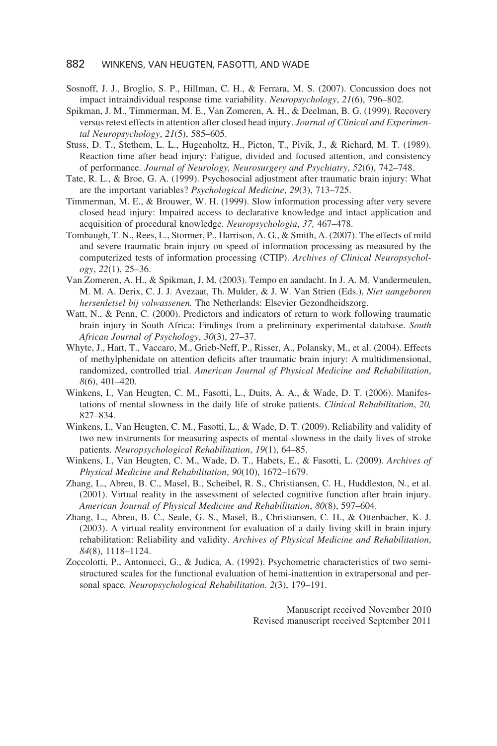- Sosnoff, J. J., Broglio, S. P., Hillman, C. H., & Ferrara, M. S. (2007). Concussion does not impact intraindividual response time variability. Neuropsychology, 21(6), 796–802.
- Spikman, J. M., Timmerman, M. E., Van Zomeren, A. H., & Deelman, B. G. (1999). Recovery versus retest effects in attention after closed head injury. Journal of Clinical and Experimental Neuropsychology, 21(5), 585–605.
- Stuss, D. T., Stethem, L. L., Hugenholtz, H., Picton, T., Pivik, J., & Richard, M. T. (1989). Reaction time after head injury: Fatigue, divided and focused attention, and consistency of performance. Journal of Neurology, Neurosurgery and Psychiatry, 52(6), 742–748.
- Tate, R. L., & Broe, G. A. (1999). Psychosocial adjustment after traumatic brain injury: What are the important variables? Psychological Medicine, 29(3), 713–725.
- Timmerman, M. E., & Brouwer, W. H. (1999). Slow information processing after very severe closed head injury: Impaired access to declarative knowledge and intact application and acquisition of procedural knowledge. Neuropsychologia, 37, 467–478.
- Tombaugh, T. N., Rees, L., Stormer, P., Harrison, A. G., & Smith, A. (2007). The effects of mild and severe traumatic brain injury on speed of information processing as measured by the computerized tests of information processing (CTIP). Archives of Clinical Neuropsychology, 22(1), 25–36.
- Van Zomeren, A. H., & Spikman, J. M. (2003). Tempo en aandacht. In J. A. M. Vandermeulen, M. M. A. Derix, C. J. J. Avezaat, Th. Mulder, & J. W. Van Strien (Eds.), Niet aangeboren hersenletsel bij volwassenen. The Netherlands: Elsevier Gezondheidszorg.
- Watt, N., & Penn, C. (2000). Predictors and indicators of return to work following traumatic brain injury in South Africa: Findings from a preliminary experimental database. South African Journal of Psychology, 30(3), 27–37.
- Whyte, J., Hart, T., Vaccaro, M., Grieb-Neff, P., Risser, A., Polansky, M., et al. (2004). Effects of methylphenidate on attention deficits after traumatic brain injury: A multidimensional, randomized, controlled trial. American Journal of Physical Medicine and Rehabilitation, 8(6), 401–420.
- Winkens, I., Van Heugten, C. M., Fasotti, L., Duits, A. A., & Wade, D. T. (2006). Manifestations of mental slowness in the daily life of stroke patients. Clinical Rehabilitation, 20, 827–834.
- Winkens, I., Van Heugten, C. M., Fasotti, L., & Wade, D. T. (2009). Reliability and validity of two new instruments for measuring aspects of mental slowness in the daily lives of stroke patients. Neuropsychological Rehabilitation, 19(1), 64–85.
- Winkens, I., Van Heugten, C. M., Wade, D. T., Habets, E., & Fasotti, L. (2009). Archives of Physical Medicine and Rehabilitation, 90(10), 1672–1679.
- Zhang, L., Abreu, B. C., Masel, B., Scheibel, R. S., Christiansen, C. H., Huddleston, N., et al. (2001). Virtual reality in the assessment of selected cognitive function after brain injury. American Journal of Physical Medicine and Rehabilitation, 80(8), 597–604.
- Zhang, L., Abreu, B. C., Seale, G. S., Masel, B., Christiansen, C. H., & Ottenbacher, K. J. (2003). A virtual reality environment for evaluation of a daily living skill in brain injury rehabilitation: Reliability and validity. Archives of Physical Medicine and Rehabilitation, 84(8), 1118–1124.
- Zoccolotti, P., Antonucci, G., & Judica, A. (1992). Psychometric characteristics of two semistructured scales for the functional evaluation of hemi-inattention in extrapersonal and personal space. Neuropsychological Rehabilitation. 2(3), 179–191.

Manuscript received November 2010 Revised manuscript received September 2011